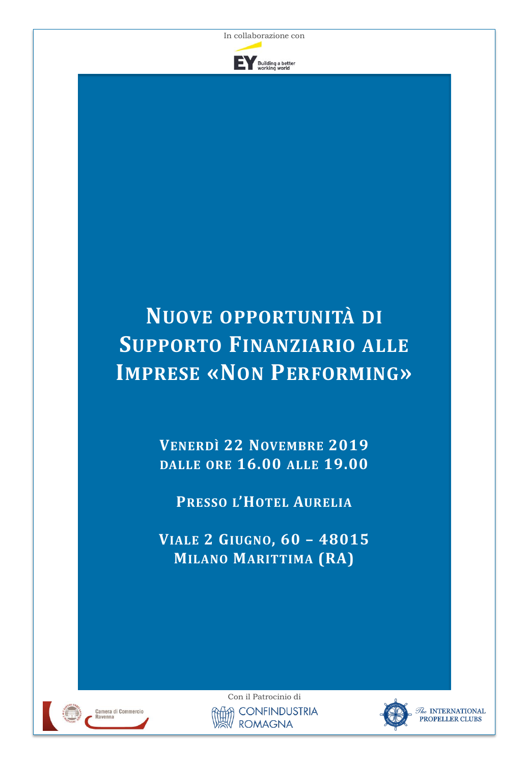

# **NUOVE OPPORTUNITÀ DI SUPPORTO FINANZIARIO ALLE IMPRESE «NON PERFORMING»**

**VENERDÌ 22 NOVEMBRE 2019 DALLE ORE 16.00 ALLE 19.00**

**PRESSO L'HOTEL AURELIA**

**VIALE 2 GIUGNO, 60 – 48015 MILANO MARITTIMA (RA)**



Con il Patrocinio di **CONFINDUSTRIA ROMAGNA** 



 $\bar{\mathcal{U}}$ e INTERNATIONAL PROPELLER CLUBS